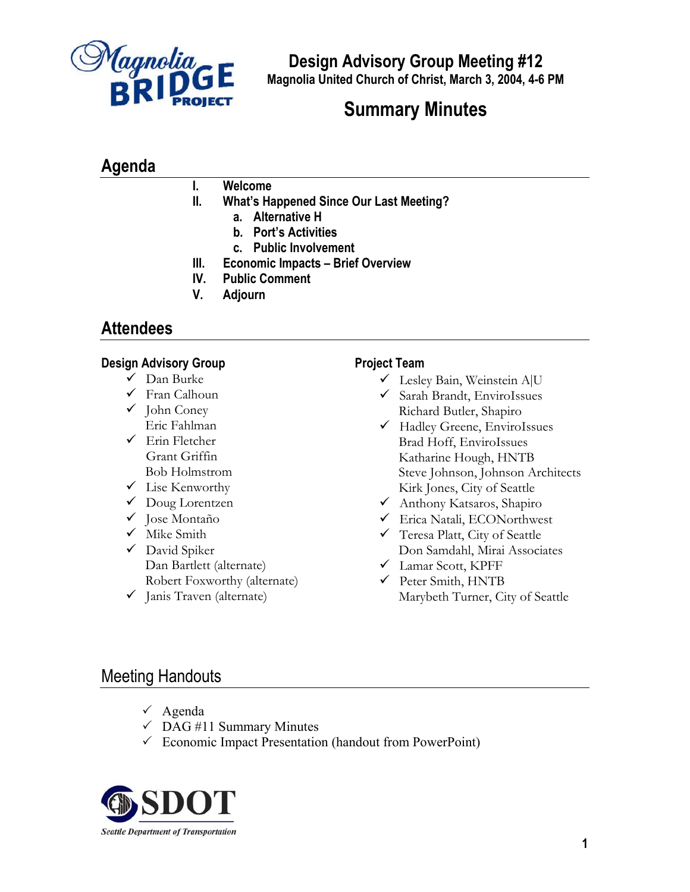

**Design Advisory Group Meeting #12 Magnolia United Church of Christ, March 3, 2004, 4-6 PM**

# **Summary Minutes**

# **Agenda**

# **I. Welcome**

- **II. What's Happened Since Our Last Meeting?**
	- **a. Alternative H**
		- **b. Port's Activities**
		- **c. Public Involvement**
- **III. Economic Impacts – Brief Overview**
- **IV. Public Comment**
- **V. Adjourn**

# **Attendees**

### **Design Advisory Group**

- $\checkmark$  Dan Burke
- $\checkmark$  Fran Calhoun
- $\checkmark$  John Coney Eric Fahlman
- $\checkmark$  Erin Fletcher Grant Griffin Bob Holmstrom
- $\checkmark$  Lise Kenworthy
- Doug Lorentzen
- $\checkmark$  Jose Montaño
- $\checkmark$  Mike Smith
- $\checkmark$  David Spiker Dan Bartlett (alternate) Robert Foxworthy (alternate)
- $\checkmark$  Janis Traven (alternate)

# **Project Team**

- 9 Lesley Bain, Weinstein A|U
- $\checkmark$  Sarah Brandt, EnviroIssues Richard Butler, Shapiro
- $\checkmark$  Hadley Greene, EnviroIssues Brad Hoff, EnviroIssues Katharine Hough, HNTB Steve Johnson, Johnson Architects Kirk Jones, City of Seattle
- 9 Anthony Katsaros, Shapiro
- 9 Erica Natali, ECONorthwest
- $\checkmark$  Teresa Platt, City of Seattle Don Samdahl, Mirai Associates
- $\checkmark$  Lamar Scott, KPFF
- $\checkmark$  Peter Smith, HNTB Marybeth Turner, City of Seattle

# Meeting Handouts

- $\checkmark$  Agenda
- $\checkmark$  DAG #11 Summary Minutes
- $\checkmark$  Economic Impact Presentation (handout from PowerPoint)

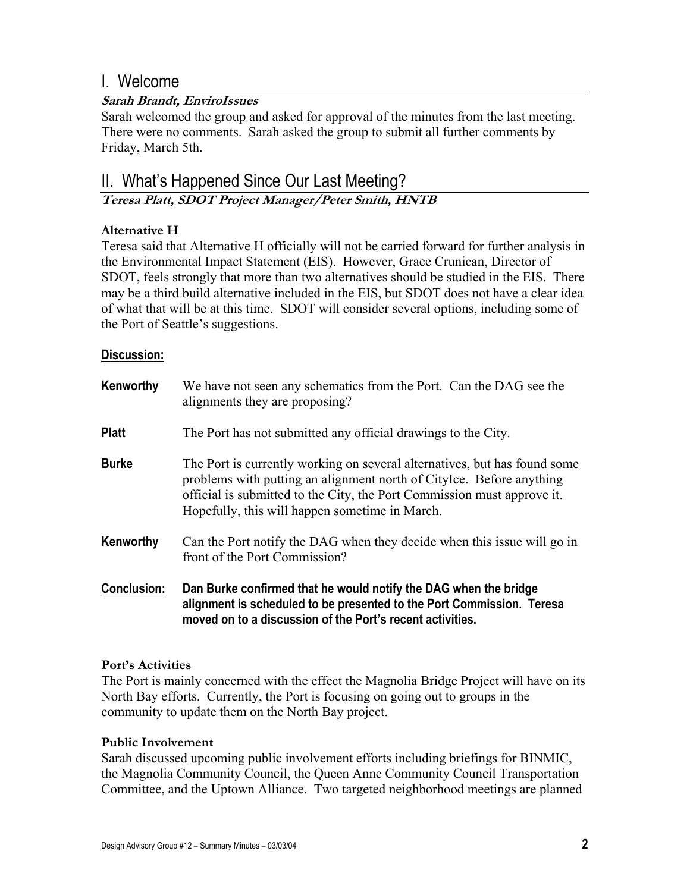# I. Welcome

# **Sarah Brandt, EnviroIssues**

Sarah welcomed the group and asked for approval of the minutes from the last meeting. There were no comments. Sarah asked the group to submit all further comments by Friday, March 5th.

# II. What's Happened Since Our Last Meeting?

**Teresa Platt, SDOT Project Manager/Peter Smith, HNTB** 

# **Alternative H**

Teresa said that Alternative H officially will not be carried forward for further analysis in the Environmental Impact Statement (EIS). However, Grace Crunican, Director of SDOT, feels strongly that more than two alternatives should be studied in the EIS. There may be a third build alternative included in the EIS, but SDOT does not have a clear idea of what that will be at this time. SDOT will consider several options, including some of the Port of Seattle's suggestions.

### **Discussion:**

| Kenworthy          | We have not seen any schematics from the Port. Can the DAG see the<br>alignments they are proposing?                                                                                                                                                                           |
|--------------------|--------------------------------------------------------------------------------------------------------------------------------------------------------------------------------------------------------------------------------------------------------------------------------|
| <b>Platt</b>       | The Port has not submitted any official drawings to the City.                                                                                                                                                                                                                  |
| <b>Burke</b>       | The Port is currently working on several alternatives, but has found some<br>problems with putting an alignment north of Citylce. Before anything<br>official is submitted to the City, the Port Commission must approve it.<br>Hopefully, this will happen sometime in March. |
| Kenworthy          | Can the Port notify the DAG when they decide when this issue will go in<br>front of the Port Commission?                                                                                                                                                                       |
| <b>Conclusion:</b> | Dan Burke confirmed that he would notify the DAG when the bridge<br>alignment is scheduled to be presented to the Port Commission. Teresa<br>moved on to a discussion of the Port's recent activities.                                                                         |

### **Port's Activities**

The Port is mainly concerned with the effect the Magnolia Bridge Project will have on its North Bay efforts. Currently, the Port is focusing on going out to groups in the community to update them on the North Bay project.

### **Public Involvement**

Sarah discussed upcoming public involvement efforts including briefings for BINMIC, the Magnolia Community Council, the Queen Anne Community Council Transportation Committee, and the Uptown Alliance. Two targeted neighborhood meetings are planned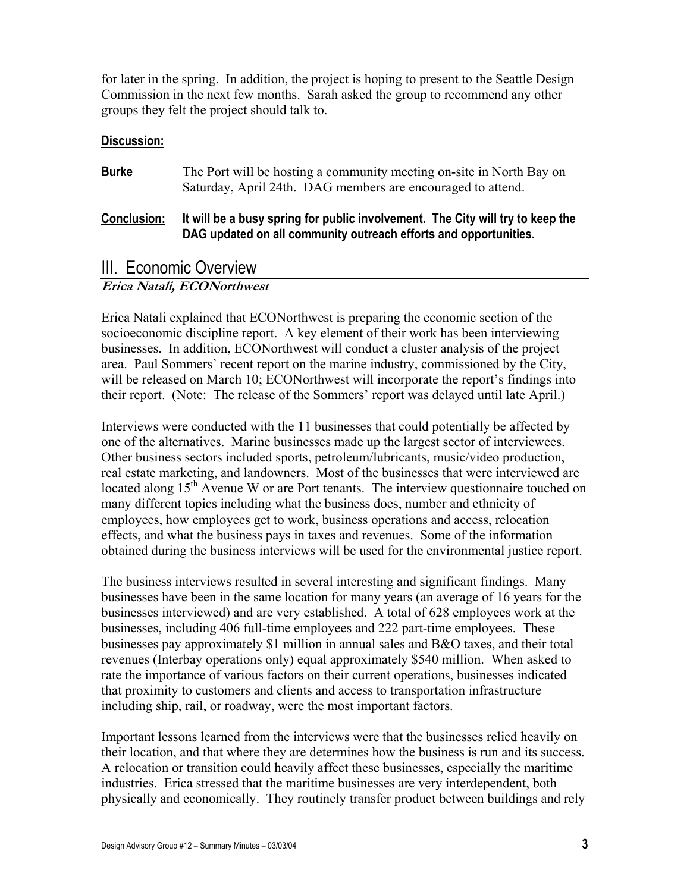for later in the spring. In addition, the project is hoping to present to the Seattle Design Commission in the next few months. Sarah asked the group to recommend any other groups they felt the project should talk to.

### **Discussion:**

| <b>Burke</b>       | The Port will be hosting a community meeting on-site in North Bay on<br>Saturday, April 24th. DAG members are encouraged to attend.                |
|--------------------|----------------------------------------------------------------------------------------------------------------------------------------------------|
| <b>Conclusion:</b> | It will be a busy spring for public involvement. The City will try to keep the<br>DAG updated on all community outreach efforts and opportunities. |

# III. Economic Overview

# **Erica Natali, ECONorthwest**

Erica Natali explained that ECONorthwest is preparing the economic section of the socioeconomic discipline report. A key element of their work has been interviewing businesses. In addition, ECONorthwest will conduct a cluster analysis of the project area. Paul Sommers' recent report on the marine industry, commissioned by the City, will be released on March 10; ECONorthwest will incorporate the report's findings into their report. (Note: The release of the Sommers' report was delayed until late April.)

Interviews were conducted with the 11 businesses that could potentially be affected by one of the alternatives. Marine businesses made up the largest sector of interviewees. Other business sectors included sports, petroleum/lubricants, music/video production, real estate marketing, and landowners. Most of the businesses that were interviewed are located along  $15<sup>th</sup>$  Avenue W or are Port tenants. The interview questionnaire touched on many different topics including what the business does, number and ethnicity of employees, how employees get to work, business operations and access, relocation effects, and what the business pays in taxes and revenues. Some of the information obtained during the business interviews will be used for the environmental justice report.

The business interviews resulted in several interesting and significant findings. Many businesses have been in the same location for many years (an average of 16 years for the businesses interviewed) and are very established. A total of 628 employees work at the businesses, including 406 full-time employees and 222 part-time employees. These businesses pay approximately \$1 million in annual sales and B&O taxes, and their total revenues (Interbay operations only) equal approximately \$540 million. When asked to rate the importance of various factors on their current operations, businesses indicated that proximity to customers and clients and access to transportation infrastructure including ship, rail, or roadway, were the most important factors.

Important lessons learned from the interviews were that the businesses relied heavily on their location, and that where they are determines how the business is run and its success. A relocation or transition could heavily affect these businesses, especially the maritime industries. Erica stressed that the maritime businesses are very interdependent, both physically and economically. They routinely transfer product between buildings and rely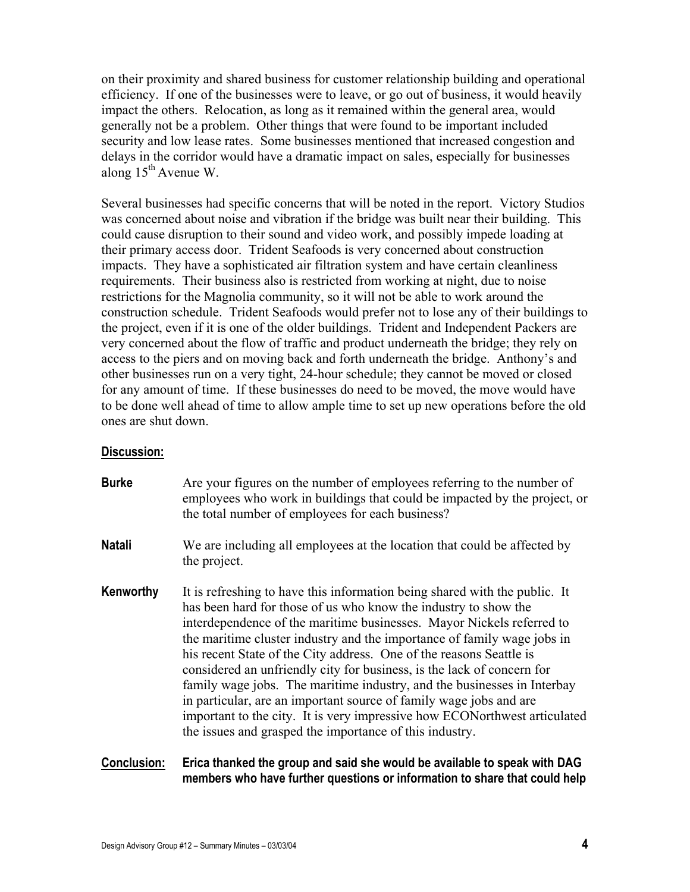on their proximity and shared business for customer relationship building and operational efficiency. If one of the businesses were to leave, or go out of business, it would heavily impact the others. Relocation, as long as it remained within the general area, would generally not be a problem. Other things that were found to be important included security and low lease rates. Some businesses mentioned that increased congestion and delays in the corridor would have a dramatic impact on sales, especially for businesses along 15th Avenue W.

Several businesses had specific concerns that will be noted in the report. Victory Studios was concerned about noise and vibration if the bridge was built near their building. This could cause disruption to their sound and video work, and possibly impede loading at their primary access door. Trident Seafoods is very concerned about construction impacts. They have a sophisticated air filtration system and have certain cleanliness requirements. Their business also is restricted from working at night, due to noise restrictions for the Magnolia community, so it will not be able to work around the construction schedule. Trident Seafoods would prefer not to lose any of their buildings to the project, even if it is one of the older buildings. Trident and Independent Packers are very concerned about the flow of traffic and product underneath the bridge; they rely on access to the piers and on moving back and forth underneath the bridge. Anthony's and other businesses run on a very tight, 24-hour schedule; they cannot be moved or closed for any amount of time. If these businesses do need to be moved, the move would have to be done well ahead of time to allow ample time to set up new operations before the old ones are shut down.

#### **Discussion:**

- **Burke** Are your figures on the number of employees referring to the number of employees who work in buildings that could be impacted by the project, or the total number of employees for each business?
- **Natali** We are including all employees at the location that could be affected by the project.
- **Kenworthy** It is refreshing to have this information being shared with the public. It has been hard for those of us who know the industry to show the interdependence of the maritime businesses. Mayor Nickels referred to the maritime cluster industry and the importance of family wage jobs in his recent State of the City address. One of the reasons Seattle is considered an unfriendly city for business, is the lack of concern for family wage jobs. The maritime industry, and the businesses in Interbay in particular, are an important source of family wage jobs and are important to the city. It is very impressive how ECONorthwest articulated the issues and grasped the importance of this industry.

### **Conclusion: Erica thanked the group and said she would be available to speak with DAG members who have further questions or information to share that could help**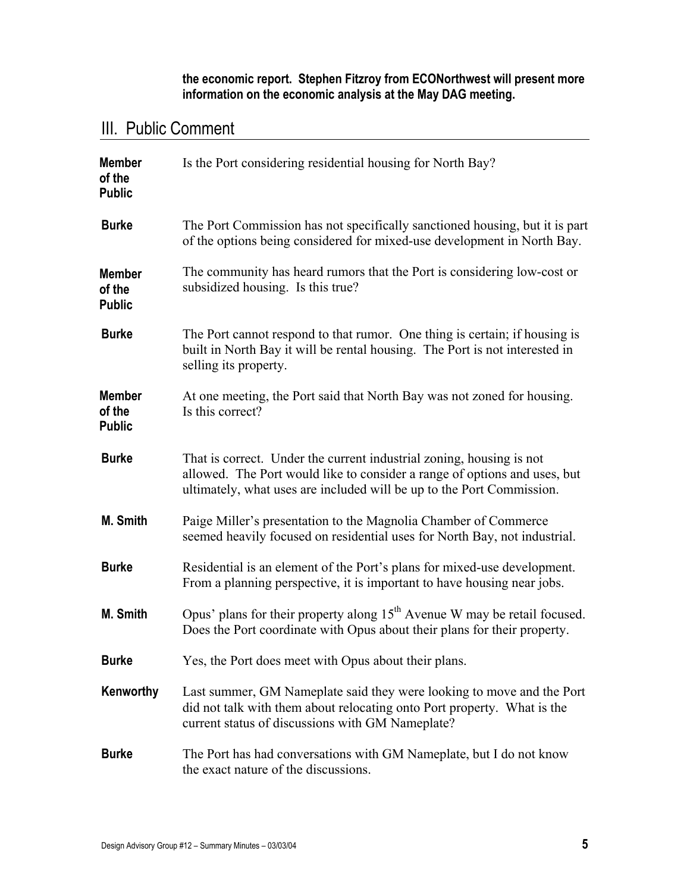**the economic report. Stephen Fitzroy from ECONorthwest will present more information on the economic analysis at the May DAG meeting.**

# III. Public Comment

| <b>Member</b><br>of the<br><b>Public</b> | Is the Port considering residential housing for North Bay?                                                                                                                                                                 |
|------------------------------------------|----------------------------------------------------------------------------------------------------------------------------------------------------------------------------------------------------------------------------|
| <b>Burke</b>                             | The Port Commission has not specifically sanctioned housing, but it is part<br>of the options being considered for mixed-use development in North Bay.                                                                     |
| <b>Member</b><br>of the<br><b>Public</b> | The community has heard rumors that the Port is considering low-cost or<br>subsidized housing. Is this true?                                                                                                               |
| <b>Burke</b>                             | The Port cannot respond to that rumor. One thing is certain; if housing is<br>built in North Bay it will be rental housing. The Port is not interested in<br>selling its property.                                         |
| <b>Member</b><br>of the<br><b>Public</b> | At one meeting, the Port said that North Bay was not zoned for housing.<br>Is this correct?                                                                                                                                |
| <b>Burke</b>                             | That is correct. Under the current industrial zoning, housing is not<br>allowed. The Port would like to consider a range of options and uses, but<br>ultimately, what uses are included will be up to the Port Commission. |
| M. Smith                                 | Paige Miller's presentation to the Magnolia Chamber of Commerce<br>seemed heavily focused on residential uses for North Bay, not industrial.                                                                               |
| <b>Burke</b>                             | Residential is an element of the Port's plans for mixed-use development.<br>From a planning perspective, it is important to have housing near jobs.                                                                        |
| M. Smith                                 | Opus' plans for their property along $15th$ Avenue W may be retail focused.<br>Does the Port coordinate with Opus about their plans for their property.                                                                    |
| <b>Burke</b>                             | Yes, the Port does meet with Opus about their plans.                                                                                                                                                                       |
| Kenworthy                                | Last summer, GM Nameplate said they were looking to move and the Port<br>did not talk with them about relocating onto Port property. What is the<br>current status of discussions with GM Nameplate?                       |
| <b>Burke</b>                             | The Port has had conversations with GM Nameplate, but I do not know<br>the exact nature of the discussions.                                                                                                                |